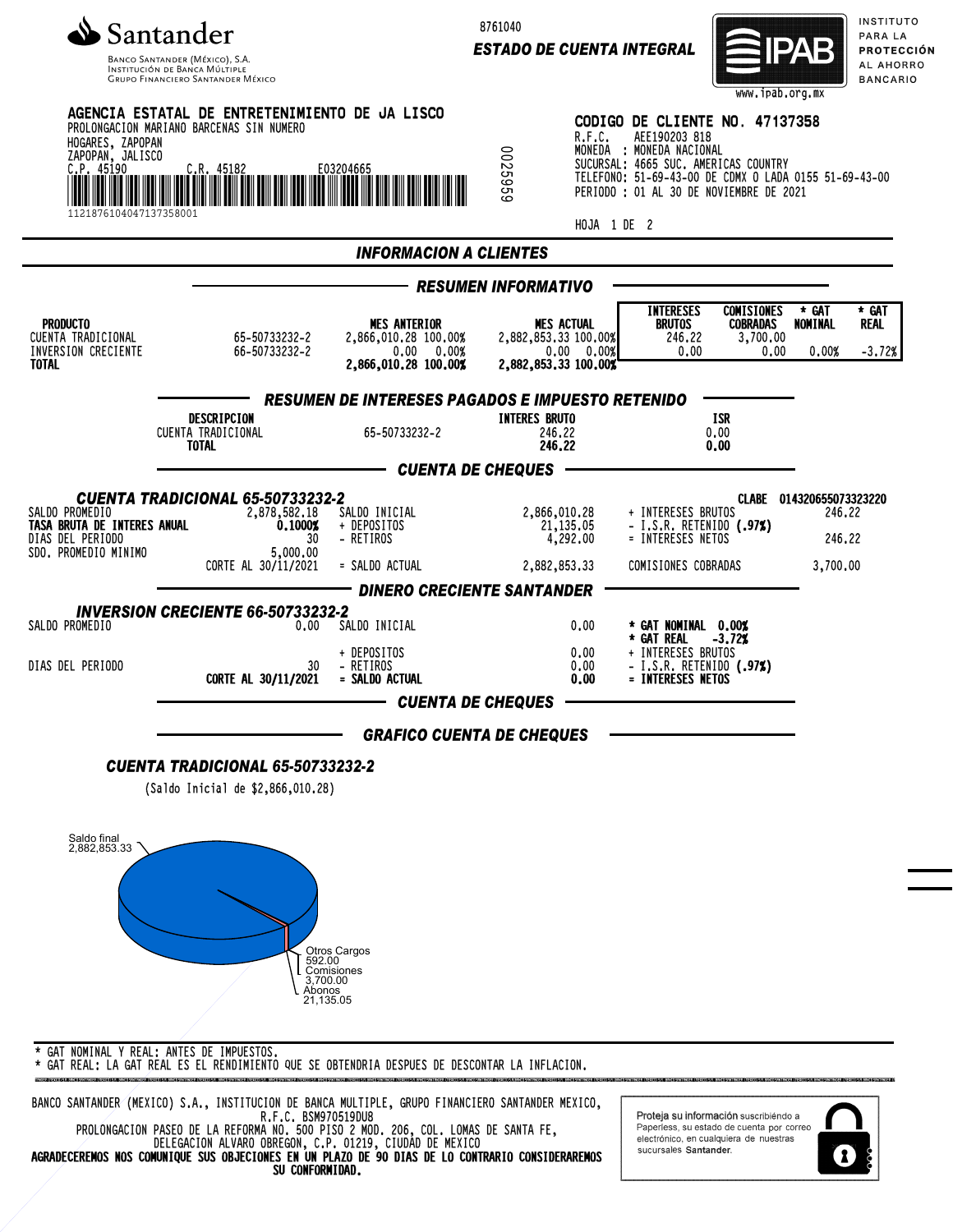

8761040

*ESTADO DE CUENTA INTEGRAL*



INSTITUTO PARA LA **PROTECCIÓN** AL AHORRO ١O

|                                                                                                | <b>GRUPO FINANCIERO SANTANDER MÉXICO</b>                                                                                        |                                                                                   |                                                                                                               | www.ipab.org.mx                                                                                                                                                                                                         | <b>BANCARI</b>                                                |
|------------------------------------------------------------------------------------------------|---------------------------------------------------------------------------------------------------------------------------------|-----------------------------------------------------------------------------------|---------------------------------------------------------------------------------------------------------------|-------------------------------------------------------------------------------------------------------------------------------------------------------------------------------------------------------------------------|---------------------------------------------------------------|
| HOGARES, ZAPOPAN<br>ZAPOPAN, JALISCO<br>C.P. 45190<br>Itini Indijini<br>1121876104047137358001 | AGENCIA ESTATAL DE ENTRETENIMIENTO DE JA LISCO<br>PROLONGACION MARIANO BARCENAS SIN NUMERO<br>C.R. 45182<br>Lilli III Lilli III | E03204665                                                                         | R.F.C.<br>0025959                                                                                             | CODIGO DE CLIENTE NO. 47137358<br>AEE190203 818<br>MONEDA : MONEDA NACIONAL<br>SUCURSAL: 4665 SUC. AMERICAS COUNTRY<br>TELEFONO: 51-69-43-00 DE CDMX 0 LADA 0155 51-69-43-00<br>PERIODO : 01 AL 30 DE NOVIEMBRE DE 2021 |                                                               |
|                                                                                                |                                                                                                                                 |                                                                                   |                                                                                                               | HOJA 1 DE 2                                                                                                                                                                                                             |                                                               |
|                                                                                                |                                                                                                                                 | <b>INFORMACION A CLIENTES</b>                                                     |                                                                                                               |                                                                                                                                                                                                                         |                                                               |
| <b>PRODUCTO</b><br>CUENTA TRADICIONAL<br>INVERSION CRECIENTE<br><b>TOTAL</b>                   | 65-50733232-2<br>66-50733232-2                                                                                                  | <b>MES ANTERIOR</b><br>2,866,010.28 100.00%<br>0.00 0.00%<br>2,866,010.28 100.00% | <b>RESUMEN INFORMATIVO</b><br><b>MES ACTUAL</b><br>2,882,853.33 100.00%<br>0.00 0.00%<br>2,882,853,33 100,00% | <b>INTERESES</b><br><b>COMISIONES</b><br><b>BRUTOS</b><br><b>COBRADAS</b><br>246.22<br>3,700.00<br>0.00<br>0,00                                                                                                         | * GAT<br>* GAT<br>NOMINAL<br><b>REAL</b><br>0.00%<br>$-3.72%$ |
|                                                                                                | DESCRIPCION<br>CUENTA TRADICIONAL<br><b>TOTAL</b>                                                                               | <b>RESUMEN DE INTERESES PAGADOS E IMPUESTO RETENIDO</b><br>65-50733232-2          | <b>INTERES BRUTO</b><br>246.22<br>246.22                                                                      | ISR<br>0.00<br>0.00                                                                                                                                                                                                     |                                                               |
|                                                                                                |                                                                                                                                 | <b>CUENTA DE CHEQUES</b>                                                          |                                                                                                               |                                                                                                                                                                                                                         |                                                               |
| SALDO PROMEDIO<br>TASA BRUTA DE INTERES ANUAL<br>DIAS DEL PERIODO<br>SDO. PROMEDIO MINIMO      | <b>CUENTA TRADICIONAL 65-50733232-2</b><br>2,878,582.18<br>0.10002<br>30<br>5,000,00<br>CORTE AL 30/11/2021                     | SALDO INICIAL<br>+ DEPOSITOS<br>- RETIROS<br>= SALDO ACTUAL                       | 2,866,010.28<br>21,135.05<br>4,292.00<br>2,882,853.33                                                         | + INTERESES BRUTOS<br>- I.S.R. RETENIDO (.97%)<br>= INTERESES NETOS<br>COMISIONES COBRADAS                                                                                                                              | CLABE 014320655073323220<br>246.22<br>246.22<br>3,700,00      |
|                                                                                                | <b>INVERSION CRECIENTE 66-50733232-2</b>                                                                                        | <b>DINERO CRECIENTE SANTANDER</b>                                                 |                                                                                                               |                                                                                                                                                                                                                         |                                                               |
| SALDO PROMEDIO<br>DIAS DEL PERIODO                                                             | 0.00<br>30<br>CORTE AL 30/11/2021                                                                                               | SALDO INICIAL<br>+ DEPOSITOS<br>- RETIROS<br>= SALDO ACTUAL                       | 0.00<br>0.00<br>0.00<br>0.00                                                                                  | * GAT NOMINAL 0.00%<br>* GAT REAL<br>$-3.72%$<br>+ INTERESES BRUTOS<br>- I.S.R. RETENIDO (.97%)<br>= INTERESES NETOS                                                                                                    |                                                               |
|                                                                                                |                                                                                                                                 | <b>CUENTA DE CHEQUES</b>                                                          |                                                                                                               |                                                                                                                                                                                                                         |                                                               |
|                                                                                                | <b>CUENTA TRADICIONAL 65-50733232-2</b><br>(Saldo Inicial de \$2,866,010.28)                                                    | <b>GRAFICO CUENTA DE CHEQUES</b>                                                  |                                                                                                               |                                                                                                                                                                                                                         |                                                               |
| Saldo final<br>2,882,853.33                                                                    | 592.00<br>3,700.00<br>Abonos<br>21,135.05<br>CAT NONTHAL V BEAL. ANTEC BE INDUESTOR                                             | Otros Cargos<br>Comisiones                                                        |                                                                                                               |                                                                                                                                                                                                                         |                                                               |

\* GAT NOMINAL Y REAL: ANTES DE IMPUESTOS. \* GAT REAL: LA GAT REAL ES EL RENDIMIENTO QUE SE OBTENDRIA DESPUES DE DESCONTAR LA INFLACION.

BANCO SANTANDER (MEXICO) S.A., INSTITUCION DE BANCA MULTIPLE, GRUPO FINANCIERO SANTANDER MEXICO, R.F.C. BSM970519DU8 PROLONGACION PASEO DE LA REFORMA NO. 500 PISO 2 MOD. 206, COL. LOMAS DE SANTA FE, DELEGACION ALVARO OBREGON, C.P. 01219, CIUDAD DE MEXICO

AGRADECEREMOS NOS COMUNIQUE SUS OBJECIONES EN UN PLAZO DE 90 DIAS DE LO CONTRARIO CONSIDERAREMOS SU CONFORMIDAD.

Proteja su información suscribiendo a Paperless, su estado de cuenta por correo<br>electrónico, en cualquiera de nuestras sucursales Santander.

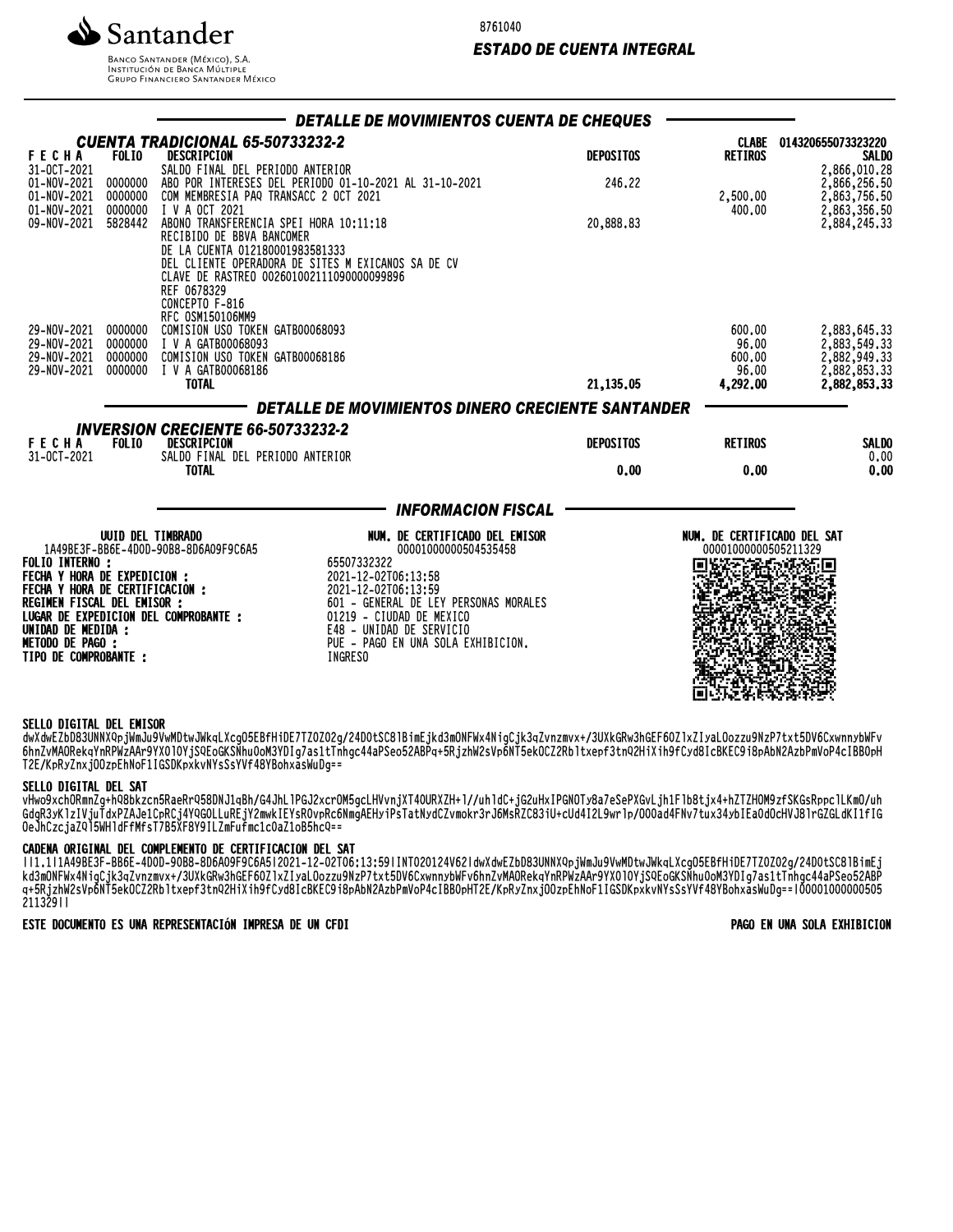

8761040

# *ESTADO DE CUENTA INTEGRAL*

**BANCO SANTANDER (MÉXICO), S.A. INSTITUCIÓN DE BANCA MÚLTIPLE**<br>INSTITUCIÓN DE BANCA MÚLTIPLE<br>GRUPO FINANCIERO SANTANDER MÉXICO

|                                                                                                  |                               |                                                                                                                                                   |                                                           | DETALLE DE MOVIMIENTOS CUENTA DE CHEQUES               |                  |                                                     |                                                    |
|--------------------------------------------------------------------------------------------------|-------------------------------|---------------------------------------------------------------------------------------------------------------------------------------------------|-----------------------------------------------------------|--------------------------------------------------------|------------------|-----------------------------------------------------|----------------------------------------------------|
| <b>FECHA</b><br>31-0CT-2021                                                                      | <b>FOLIO</b>                  | <b>CUENTA TRADICIONAL 65-50733232-2</b><br>DESCRIPCION<br>SALDO FINAL DEL PERIODO ANTERIOR                                                        |                                                           |                                                        | <b>DEPOSITOS</b> | CLABE<br><b>RETIROS</b>                             | 014320655073323220<br><b>SALDO</b><br>2,866,010.28 |
| 01-NOV-2021<br>01-NOV-2021<br>01-NOV-2021                                                        | 0000000<br>0000000<br>0000000 | ABO POR INTERESES DEL PERIODO 01-10-2021 AL 31-10-2021<br>COM MEMBRESIA PAQ TRANSACC 2 OCT 2021<br>I V A OCT 2021                                 |                                                           |                                                        | 246.22           | 2,500.00<br>400.00                                  | 2,866,256.50<br>2,863,756.50                       |
| 09-NOV-2021 5828442                                                                              |                               | ABONO TRANSFERENCIA SPEI HORA 10:11:18<br>RECIBIDO DE BBVA BANCOMER                                                                               |                                                           |                                                        | 20,888.83        |                                                     | 2,863,356.50<br>2,884,245.33                       |
|                                                                                                  |                               | DE LA CUENTA 012180001983581333<br>DEL CLIENTE OPERADORA DE SITES M EXICANOS SA DE CV<br>CLAVE DE RASTREO 002601002111090000099896<br>REF 0678329 |                                                           |                                                        |                  |                                                     |                                                    |
| 29-NOV-2021 0000000                                                                              |                               | CONCEPTO F-816<br>RFC 0SM150106MM9<br>COMISION USO TOKEN GATBOOO68093                                                                             |                                                           |                                                        |                  | 600.00                                              | 2,883,645.33                                       |
| 29-NOV-2021<br>29-NOV-2021 0000000                                                               | 0000000                       | I V A GATB00068093<br>COMISION USO TOKEN GATBOOO68186                                                                                             |                                                           |                                                        |                  | 96.00<br>600.00                                     | 2,883,549.33<br>2,882,949.33<br>2,882,853.33       |
| 29-NOV-2021                                                                                      | 0000000                       | I V A GATB00068186<br><b>TOTAL</b>                                                                                                                |                                                           |                                                        | 21,135.05        | 96.00<br>4,292.00                                   | 2,882,853.33                                       |
|                                                                                                  |                               |                                                                                                                                                   |                                                           | DETALLE DE MOVIMIENTOS DINERO CRECIENTE SANTANDER      |                  |                                                     |                                                    |
| <b>FECHA</b><br>31-0CT-2021                                                                      | <b>FOLIO</b>                  | <b>INVERSION CRECIENTE 66-50733232-2</b><br>DESCRIPCION<br>SALDO FINAL DEL PERIODO ANTERIOR                                                       |                                                           |                                                        | <b>DEPOSITOS</b> | <b>RETIROS</b>                                      | <b>SALDO</b><br>0.00                               |
|                                                                                                  |                               | <b>TOTAL</b>                                                                                                                                      |                                                           |                                                        | 0.00             | 0.00                                                | 0.00                                               |
|                                                                                                  |                               |                                                                                                                                                   |                                                           | <b>INFORMACION FISCAL</b>                              |                  |                                                     |                                                    |
|                                                                                                  | <b>UUID DEL TIMBRADO</b>      | 1A49BE3F-BB6E-4D0D-90B8-8D6A09F9C6A5                                                                                                              |                                                           | NUM. DE CERTIFICADO DEL EMISOR<br>00001000000504535458 |                  | NUM. DE CERTIFICADO DEL SAT<br>00001000000505211329 |                                                    |
| <b>FOLIO INTERNO :</b><br><b>FECHA Y HORA DE EXPEDICION :</b><br>FECHA Y HORA DE CERTIFICACIÓN : |                               |                                                                                                                                                   | 65507332322<br>2021-12-02T06:13:58<br>2021-12-02T06:13:59 |                                                        |                  |                                                     |                                                    |
| REGIMEN FISCAL DEL EMISOR :                                                                      |                               | LUGAR DE EXPEDICION DEL COMPROBANTE :                                                                                                             | 01219 - CIUDAD DE MEXICO                                  | 601 - GENERAL DE LEY PERSONAS MORALES                  |                  |                                                     |                                                    |
| UNIDAD DE MEDIDA :<br><b>METODO DE PAGO :</b><br><b>TIPO DE COMPROBANTE :</b>                    |                               |                                                                                                                                                   | E48 - UNIDAD DE SERVICIO<br><b>INGRESO</b>                | PUE - PAGO EN UNA SOLA EXHIBICION.                     |                  |                                                     |                                                    |
|                                                                                                  |                               |                                                                                                                                                   |                                                           |                                                        |                  | a L                                                 |                                                    |

#### SELLO DIGITAL DEL EMISOR

dwXdWCZDD83UNNX4PjWMJU8VWMDtWJWKqLXCgU3EBfHiDE/IZUZUZG/Z4DUt3C8IBiMEjKd3MUNFWX4NigCjK3qZvnzMVX+/3UXKGRW3NGEF0UZIXZIYaLUOZZU9NZP/tXt5DV0CXWNNYDWFV ONNZVMAUREKQYNKPWZAAR9YXVIVYjS4EOGKSNNUVOM3YDIG/aSItINNgC44aPSeO3ZABPq+3RjZNWZSVp0NT3eKUCZZRDTCXEPF3tN4ZHIXIN9FCyd8ICBKEC9I8PADNZAZDPMVOP4CIBBVPH T2E/KpRyZnxjOOzpEhNoF1IGSDKpxkvNYsSsYVf48YBohxasWuDg==

#### SELLO DIGITAL DEL SAT

VHWO9XCNURMNZG+NQ8DKZCN3RdeRrQ38DNJ1QBN/G4JNLlPGJZXCrUM3GCLMVVNjXI4UURXZM+l//unlQC+jGZUMXIPGNOTY8d/eSePXGVLjNIFlD8tjX4+NZIZMUM9ZF3RGSRPPClLKMU/un GdgR3yKlzIVjuTdxPZAJe1CpRCj4YQG0LLuREjY2mwkIEYsR0vpRc6NmgAEHyiPsTatNydCZvmokr3rJ6MsRZC83iU+cUd4I2L9wrlp/O00ad4FNv7tux34ybIEa0dOcHVJ8lrGZGLdKI1fIG OeJhCzcjaZQl5WHldFfMfsT7B5XF8Y9ILZmFufmc1c0aZ1oB5hcQ==

#### CADENA ORIGINAL DEL COMPLEMENTO DE CERTIFICACION DEL SAT

||1.1|1A49BE3F-BB6E-4D0D-90B8-8D6A09F9C6A5|2021-12-02T06:13:59|INT020124V62|dwXdwEZbD83UNNXQpjWmJu9VwMDtwJWkqLXcgO5EBfHiDE7TZ0Z02g/24D0tSC8lBimEj KQ3MUNFWX4NIQUjK3QZVNZMVX+/3UAKGRW3NGEF0UZIXZIYALUOZZUYNZP/tXt5DV0CXWNNYDWFV0NNZVMAUReKQYNRPWZAAFYYAUIUYjSQEOGKSNNUVOM3YDIQ/dS1tINNGC44dF3e05ZABP q+5RjzhW2sVp6NT5ekOCZ2Rbltxepf3tnQ2HiXih9fCyd8IcBKEC9i8pAbN2AzbPmVoP4cIBB0pHT2E/KpRyZnxjOOzpEhNoF1IGSDKpxkvNYsSsYVf48YBohxasWuDg==|00001000000505 211329||

ESTE DOCUMENTO ES UNA REPRESENTACIÓN IMPRESA DE UN CFDI PAGO EN UNA SOLA EXHIBICION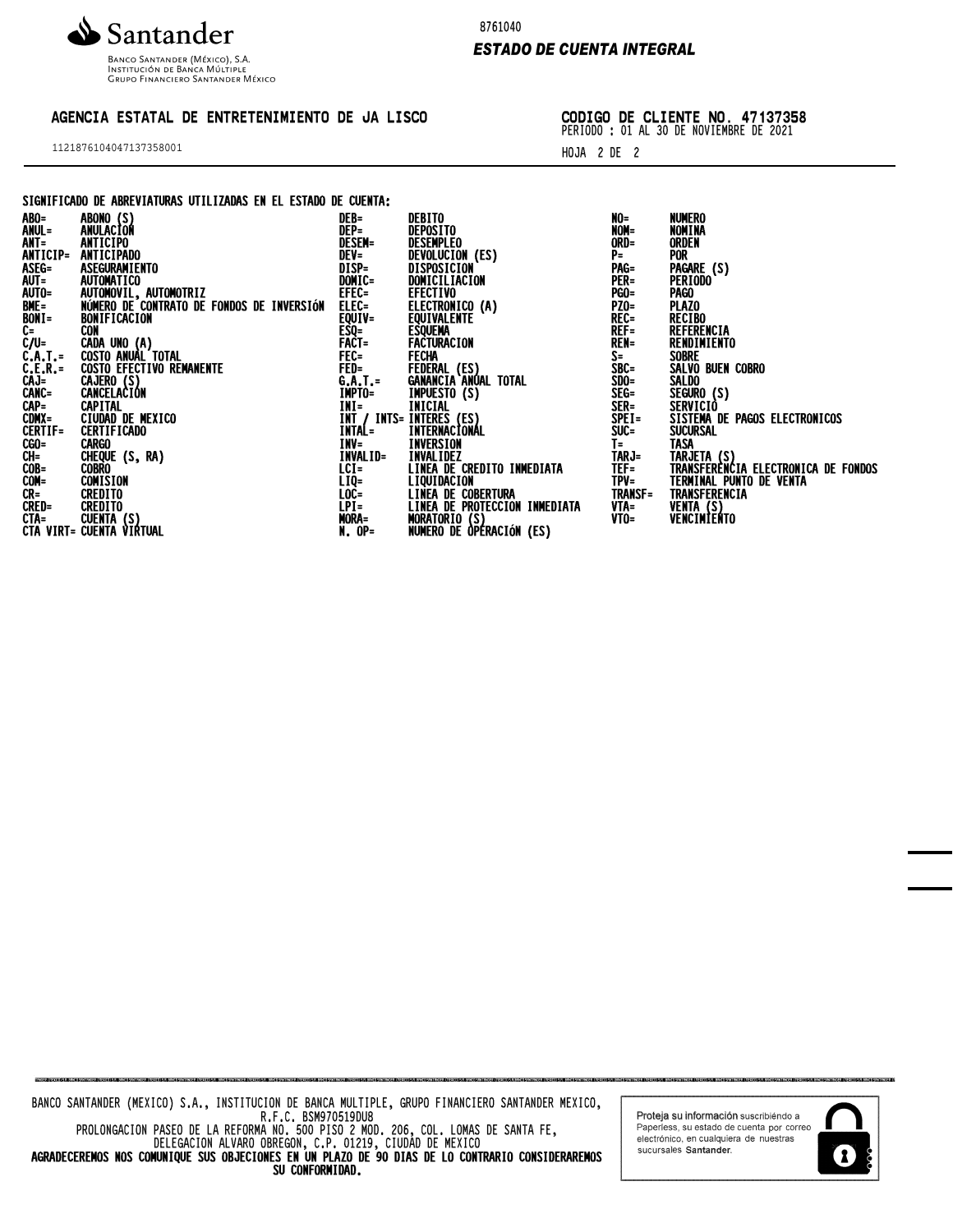

Banco Santander (México), S.A.<br>Institución de Banca Múltiple<br>Grupo Financiero Santander México

## AGENCIA ESTATAL DE ENTRETENIMIENTO DE JA LISCO

1121876104047137358001

8761040

### *ESTADO DE CUENTA INTEGRAL*

CODIGO DE CLIENTE NO. 47137358 PERIODO : 01 AL 30 DE NOVIEMBRE DE 2021

HOJA 2 DE 2

### SIGNIFICADO DE ABREVIATURAS UTILIZADAS EN EL ESTADO DE CUENTA:

|                                                               | ABONO (S)                                                                                                                                                                           | DEB=              | DEBITO                                                               | NO=            | NUMERO                                             |
|---------------------------------------------------------------|-------------------------------------------------------------------------------------------------------------------------------------------------------------------------------------|-------------------|----------------------------------------------------------------------|----------------|----------------------------------------------------|
| ABO=<br>ANUL=<br>ANT=<br>ANTICIP=                             | ANULACIÓN                                                                                                                                                                           | DEP=              | DEPOSITO                                                             | NOM=           | NOMINA                                             |
|                                                               | <b>ANTICIPO</b>                                                                                                                                                                     | <b>DESEM=</b>     | <b>DESEMPLEO</b>                                                     | ORD=           | <b>ORDEN</b>                                       |
|                                                               | ANTICIPADO                                                                                                                                                                          | DEV=<br>DISP=     | DEVOLUCION (ES)                                                      | P≕             | <b>POR</b>                                         |
|                                                               | ASEGURAMIENTO                                                                                                                                                                       |                   | DISPOSICION                                                          | PAG=           | PAGARE (S)                                         |
|                                                               | <b>AUTOMATICO</b>                                                                                                                                                                   | DOMIC=            | DOMICILIACION                                                        | PER=           | <b>PERIODO</b>                                     |
|                                                               | AUTOMOVIL, AUTOMOTRIZ                                                                                                                                                               | EFEC=             | <b>EFECTIVO</b>                                                      | <b>PGO=</b>    | PAGO .                                             |
|                                                               | NÚMERO DE CONTRATO DE FONDOS DE INVERSIÓN                                                                                                                                           |                   | ELECTRONICO (A)                                                      | <b>PZ0=</b>    | <b>PLAZO</b>                                       |
|                                                               | BONIFICACION                                                                                                                                                                        | ELEC=<br>EQUIV=   | <b>EQUIVALENTE</b>                                                   | REC=           | <b>RECIBO</b>                                      |
| ASEG=<br>AUT=<br>AUT0=<br>BME=<br>BONI=<br>C=                 | CON                                                                                                                                                                                 |                   | <b>ESQUEMA</b>                                                       | $REF =$        | REFERENCIA                                         |
| $\zeta/\zeta$                                                 |                                                                                                                                                                                     | ESQ=<br>Fact=     | FACTURACION                                                          | <b>REN=</b>    | RENDIMIENTO                                        |
|                                                               |                                                                                                                                                                                     | FEC=              | FECHA                                                                | $S =$          | <b>SOBRE</b>                                       |
|                                                               | ČAĎA UNO (A)<br>COSTO ANUAL TOTAL<br>COSTO EFECTIVO REMANENTE                                                                                                                       | <b>FED=</b>       | FEDERAL (ES)                                                         | SBC=           | SALVO BUEN COBRO                                   |
| C.A.T. =<br>C.A.T. =<br>C.E.R. =<br>CANC =<br>CAP =<br>CDNX = |                                                                                                                                                                                     |                   | <b>GANANCIA ANÚAL TOTAL</b>                                          |                | SALDO                                              |
|                                                               | CAJERO (S)<br>CANCELACION                                                                                                                                                           | G.A.T.=<br>IMPTO= |                                                                      | SDO=<br>SEG=   | SEGURO (S)                                         |
|                                                               | <b>CAPITAL</b>                                                                                                                                                                      | $INI =$           | IMPUESTO (S)<br>INICIAL                                              | SER=           | SERVICIÒ                                           |
|                                                               | CIUDAD DE MEXICO                                                                                                                                                                    |                   | INT / INTS= INTERES (ES)                                             | SPEI=          | SISTEMA DE PAGOS ELECTRONICOS                      |
| <b>CERTIF=</b>                                                | <b>CERTIFICADO</b>                                                                                                                                                                  | INTAL=            | INTERNACIONÁL                                                        | $SUC =$        | <b>SUCURSAL</b>                                    |
|                                                               |                                                                                                                                                                                     | INV=              | INVERSION                                                            | $I =$          | TASA                                               |
|                                                               |                                                                                                                                                                                     | INVALID=          | <b>INVALIDEZ</b>                                                     | TARJ=          |                                                    |
|                                                               |                                                                                                                                                                                     | $LCI =$           | LINEA DE CREDITO INMEDIATA                                           | $TEF =$        | TARJETA (S)<br>TRANSFERENCIA ELECTRONICA DE FONDOS |
|                                                               |                                                                                                                                                                                     | $LIQ=$            | LIQUIDACION                                                          | $TPV =$        | TERMINAL PUNTO DE VENTA                            |
|                                                               |                                                                                                                                                                                     | LOC=              |                                                                      | <b>TRANSF=</b> | TRANSFERENCIA                                      |
|                                                               |                                                                                                                                                                                     |                   |                                                                      | VTA=           |                                                    |
|                                                               |                                                                                                                                                                                     | LPI=<br>Mora=     | LINEA DE COBERTURA<br>LINEA DE PROTECCION INMEDIATA<br>MORATORIO (S) | $V$ TO=        | VENTA (S)<br>VENCIMIENTO                           |
|                                                               | <b>CENTIFUS CONTROL</b><br>COSCOURING CONTROL<br>CONTROL CONTROL<br>CONTROL CONTINUAL<br>CONTROL CONTROL<br>CONTROL CONTROL CONTROL<br>CTAURTHOUGHTA (S)<br>CTA VIRTHOUGHTA VIRTUAL | $N.$ OP=          | NUMERO DE ÒPÉRACIÓN (ES)                                             |                |                                                    |
|                                                               |                                                                                                                                                                                     |                   |                                                                      |                |                                                    |